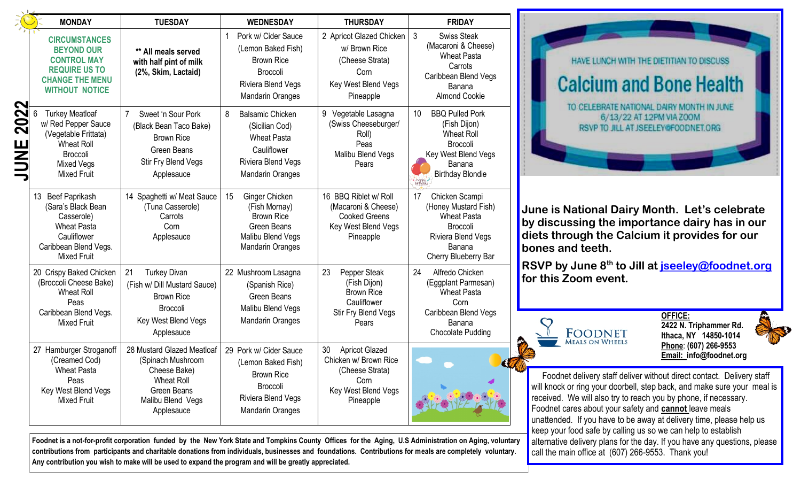| <b>MONDAY</b>                                                                                                                                     | <b>TUESDAY</b>                                                                                                                         | <b>WEDNESDAY</b>                                                                                                                     | <b>THURSDAY</b>                                                                                                     | <b>FRIDAY</b>                                                                                                                                    |
|---------------------------------------------------------------------------------------------------------------------------------------------------|----------------------------------------------------------------------------------------------------------------------------------------|--------------------------------------------------------------------------------------------------------------------------------------|---------------------------------------------------------------------------------------------------------------------|--------------------------------------------------------------------------------------------------------------------------------------------------|
| <b>CIRCUMSTANCES</b><br><b>BEYOND OUR</b><br><b>CONTROL MAY</b><br><b>REQUIRE US TO</b><br><b>CHANGE THE MENU</b><br><b>WITHOUT NOTICE</b>        | ** All meals served<br>with half pint of milk<br>(2%, Skim, Lactaid)                                                                   | Pork w/ Cider Sauce<br>(Lemon Baked Fish)<br><b>Brown Rice</b><br><b>Broccoli</b><br>Riviera Blend Vegs<br><b>Mandarin Oranges</b>   | 2 Apricot Glazed Chicken<br>w/ Brown Rice<br>(Cheese Strata)<br>Corn<br>Key West Blend Vegs<br>Pineapple            | 3<br><b>Swiss Steak</b><br>(Macaroni & Cheese)<br><b>Wheat Pasta</b><br>Carrots<br>Caribbean Blend Vegs<br>Banana<br><b>Almond Cookie</b>        |
| <b>Turkey Meatloaf</b><br>w/ Red Pepper Sauce<br>(Vegetable Frittata)<br>Wheat Roll<br><b>Broccoli</b><br><b>Mixed Vegs</b><br><b>Mixed Fruit</b> | Sweet 'n Sour Pork<br>7<br>(Black Bean Taco Bake)<br><b>Brown Rice</b><br><b>Green Beans</b><br>Stir Fry Blend Vegs<br>Applesauce      | <b>Balsamic Chicken</b><br>8<br>(Sicilian Cod)<br><b>Wheat Pasta</b><br>Cauliflower<br>Riviera Blend Vegs<br><b>Mandarin Oranges</b> | 9 Vegetable Lasagna<br>(Swiss Cheeseburger/<br>Roll)<br>Peas<br>Malibu Blend Vegs<br>Pears                          | <b>BBQ Pulled Pork</b><br>10<br>(Fish Dijon)<br><b>Wheat Roll</b><br><b>Broccoli</b><br>Key West Blend Vegs<br>Banana<br><b>Birthday Blondie</b> |
| Beef Paprikash<br>13<br>(Sara's Black Bean<br>Casserole)<br><b>Wheat Pasta</b><br>Cauliflower<br>Caribbean Blend Vegs.<br><b>Mixed Fruit</b>      | 14 Spaghetti w/ Meat Sauce<br>(Tuna Casserole)<br>Carrots<br>Corn<br>Applesauce                                                        | 15<br>Ginger Chicken<br>(Fish Mornay)<br><b>Brown Rice</b><br><b>Green Beans</b><br>Malibu Blend Vegs<br><b>Mandarin Oranges</b>     | 16 BBQ Riblet w/ Roll<br>(Macaroni & Cheese)<br><b>Cooked Greens</b><br>Key West Blend Vegs<br>Pineapple            | Chicken Scampi<br>17<br>(Honey Mustard Fish)<br><b>Wheat Pasta</b><br><b>Broccoli</b><br>Riviera Blend Vegs<br>Banana<br>Cherry Blueberry Bar    |
| 20 Crispy Baked Chicken<br>(Broccoli Cheese Bake)<br>Wheat Roll<br>Peas<br>Caribbean Blend Vegs.<br><b>Mixed Fruit</b>                            | 21<br><b>Turkey Divan</b><br>(Fish w/ Dill Mustard Sauce)<br><b>Brown Rice</b><br><b>Broccoli</b><br>Key West Blend Vegs<br>Applesauce | 22 Mushroom Lasagna<br>(Spanish Rice)<br><b>Green Beans</b><br>Malibu Blend Vegs<br><b>Mandarin Oranges</b>                          | 23<br>Pepper Steak<br>(Fish Dijon)<br><b>Brown Rice</b><br>Cauliflower<br>Stir Fry Blend Vegs<br>Pears              | 24<br>Alfredo Chicken<br>(Eggplant Parmesan)<br><b>Wheat Pasta</b><br>Corn<br>Caribbean Blend Vegs<br>Banana<br>Chocolate Pudding                |
| 27 Hamburger Stroganoff<br>(Creamed Cod)<br><b>Wheat Pasta</b><br>Peas<br>Key West Blend Vegs<br><b>Mixed Fruit</b>                               | 28 Mustard Glazed Meatloaf<br>(Spinach Mushroom<br>Cheese Bake)<br><b>Wheat Roll</b><br>Green Beans<br>Malibu Blend Vegs<br>Applesauce | 29 Pork w/ Cider Sauce<br>(Lemon Baked Fish)<br><b>Brown Rice</b><br>Broccoli<br>Riviera Blend Vegs<br><b>Mandarin Oranges</b>       | <b>Apricot Glazed</b><br>30<br>Chicken w/ Brown Rice<br>(Cheese Strata)<br>Corn<br>Key West Blend Vegs<br>Pineapple |                                                                                                                                                  |

**Foodnet is a not-for-profit corporation funded by the New York State and Tompkins County Offices for the Aging, U.S Administration on Aging, voluntary contributions from participants and charitable donations from individuals, businesses and foundations. Contributions for meals are completely voluntary.** 



**June is National Dairy Month. Let's celebrate by discussing the importance dairy has in our diets through the Calcium it provides for our bones and teeth.**

**RSVP by June 8th to Jill at [jseeley@foodnet.org](mailto:jseeley@foodnet.org) for this Zoom event.** 



**OFFICE: 2422 N. Triphammer Rd. Ithaca, NY 14850-1014 Phone**: **(607) 266-9553 Email: info@foodnet.org**

Foodnet delivery staff deliver without direct contact. Delivery staff will knock or ring your doorbell, step back, and make sure your meal is received. We will also try to reach you by phone, if necessary. Foodnet cares about your safety and **cannot** leave meals unattended. If you have to be away at delivery time, please help us keep your food safe by calling us so we can help to establish alternative delivery plans for the day. If you have any questions, please call the main office at (607) 266-9553. Thank you!